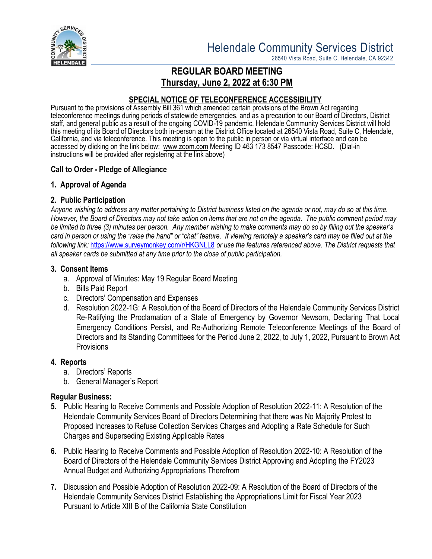

26540 Vista Road, Suite C, Helendale, CA 92342

# **REGULAR BOARD MEETING Thursday, June 2, 2022 at 6:30 PM**

### **SPECIAL NOTICE OF TELECONFERENCE ACCESSIBILITY**

Pursuant to the provisions of Assembly Bill 361 which amended certain provisions of the Brown Act regarding teleconference meetings during periods of statewide emergencies, and as a precaution to our Board of Directors, District staff, and general public as a result of the ongoing COVID-19 pandemic, Helendale Community Services District will hold this meeting of its Board of Directors both in-person at the District Office located at 26540 Vista Road, Suite C, Helendale, California, and via teleconference. This meeting is open to the public in person or via virtual interface and can be accessed by clicking on the link below: [www.zoom.com](http://www.zoom.com/) Meeting ID 463 173 8547 Passcode: HCSD. (Dial-in instructions will be provided after registering at the link above)

## **Call to Order - Pledge of Allegiance**

## **1. Approval of Agenda**

## **2. Public Participation**

*Anyone wishing to address any matter pertaining to District business listed on the agenda or not, may do so at this time. However, the Board of Directors may not take action on items that are not on the agenda. The public comment period may be limited to three (3) minutes per person. Any member wishing to make comments may do so by filling out the speaker's card in person or using the "raise the hand" or "chat" feature. If viewing remotely a speaker's card may be filled out at the following link:* <https://www.surveymonkey.com/r/HKGNLL8> *or use the features referenced above. The District requests that all speaker cards be submitted at any time prior to the close of public participation.*

#### **3. Consent Items**

- a. Approval of Minutes: May 19 Regular Board Meeting
- b. Bills Paid Report
- c. Directors' Compensation and Expenses
- d. Resolution 2022-1G: A Resolution of the Board of Directors of the Helendale Community Services District Re-Ratifying the Proclamation of a State of Emergency by Governor Newsom, Declaring That Local Emergency Conditions Persist, and Re-Authorizing Remote Teleconference Meetings of the Board of Directors and Its Standing Committees for the Period June 2, 2022, to July 1, 2022, Pursuant to Brown Act **Provisions**

#### **4. Reports**

- a. Directors' Reports
- b. General Manager's Report

#### **Regular Business:**

- **5.** Public Hearing to Receive Comments and Possible Adoption of Resolution 2022-11: A Resolution of the Helendale Community Services Board of Directors Determining that there was No Majority Protest to Proposed Increases to Refuse Collection Services Charges and Adopting a Rate Schedule for Such Charges and Superseding Existing Applicable Rates
- **6.** Public Hearing to Receive Comments and Possible Adoption of Resolution 2022-10: A Resolution of the Board of Directors of the Helendale Community Services District Approving and Adopting the FY2023 Annual Budget and Authorizing Appropriations Therefrom
- **7.** Discussion and Possible Adoption of Resolution 2022-09: A Resolution of the Board of Directors of the Helendale Community Services District Establishing the Appropriations Limit for Fiscal Year 2023 Pursuant to Article XIII B of the California State Constitution